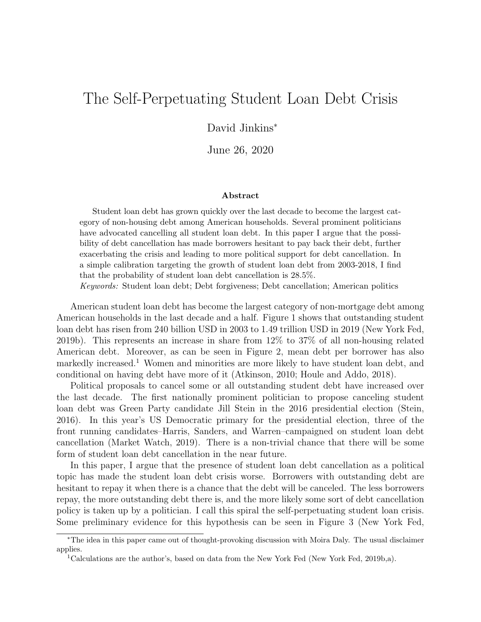# The Self-Perpetuating Student Loan Debt Crisis

### David Jinkins<sup>∗</sup>

June 26, 2020

#### Abstract

Student loan debt has grown quickly over the last decade to become the largest category of non-housing debt among American households. Several prominent politicians have advocated cancelling all student loan debt. In this paper I argue that the possibility of debt cancellation has made borrowers hesitant to pay back their debt, further exacerbating the crisis and leading to more political support for debt cancellation. In a simple calibration targeting the growth of student loan debt from 2003-2018, I find that the probability of student loan debt cancellation is 28.5%.

Keywords: Student loan debt; Debt forgiveness; Debt cancellation; American politics

American student loan debt has become the largest category of non-mortgage debt among American households in the last decade and a half. Figure [1](#page-1-0) shows that outstanding student loan debt has risen from 240 billion USD in 2003 to 1.49 trillion USD in 2019 [\(New York Fed,](#page-7-0) [2019b\)](#page-7-0). This represents an increase in share from 12% to 37% of all non-housing related American debt. Moreover, as can be seen in Figure [2,](#page-1-1) mean debt per borrower has also markedly increased.<sup>[1](#page-0-0)</sup> Women and minorities are more likely to have student loan debt, and conditional on having debt have more of it [\(Atkinson, 2010;](#page-6-0) [Houle and Addo, 2018\)](#page-6-1).

Political proposals to cancel some or all outstanding student debt have increased over the last decade. The first nationally prominent politician to propose canceling student loan debt was Green Party candidate Jill Stein in the 2016 presidential election [\(Stein,](#page-7-1) [2016\)](#page-7-1). In this year's US Democratic primary for the presidential election, three of the front running candidates–Harris, Sanders, and Warren–campaigned on student loan debt cancellation [\(Market Watch, 2019\)](#page-7-2). There is a non-trivial chance that there will be some form of student loan debt cancellation in the near future.

In this paper, I argue that the presence of student loan debt cancellation as a political topic has made the student loan debt crisis worse. Borrowers with outstanding debt are hesitant to repay it when there is a chance that the debt will be canceled. The less borrowers repay, the more outstanding debt there is, and the more likely some sort of debt cancellation policy is taken up by a politician. I call this spiral the self-perpetuating student loan crisis. Some preliminary evidence for this hypothesis can be seen in Figure [3](#page-2-0) [\(New York Fed,](#page-7-0)

<sup>∗</sup>The idea in this paper came out of thought-provoking discussion with Moira Daly. The usual disclaimer applies.

<span id="page-0-0"></span><sup>&</sup>lt;sup>1</sup>Calculations are the author's, based on data from the New York Fed [\(New York Fed, 2019b,](#page-7-0)[a\)](#page-7-3).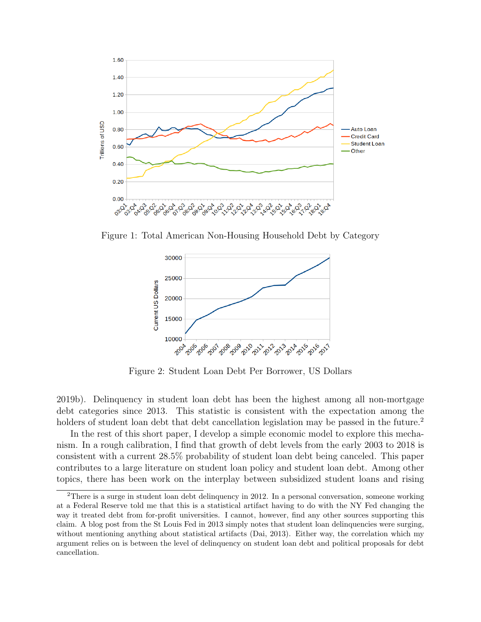<span id="page-1-0"></span>

<span id="page-1-1"></span>Figure 1: Total American Non-Housing Household Debt by Category



Figure 2: Student Loan Debt Per Borrower, US Dollars

[2019b\)](#page-7-0). Delinquency in student loan debt has been the highest among all non-mortgage debt categories since 2013. This statistic is consistent with the expectation among the holders of student loan debt that debt cancellation legislation may be passed in the future.<sup>[2](#page-1-2)</sup>

In the rest of this short paper, I develop a simple economic model to explore this mechanism. In a rough calibration, I find that growth of debt levels from the early 2003 to 2018 is consistent with a current 28.5% probability of student loan debt being canceled. This paper contributes to a large literature on student loan policy and student loan debt. Among other topics, there has been work on the interplay between subsidized student loans and rising

<span id="page-1-2"></span><sup>&</sup>lt;sup>2</sup>There is a surge in student loan debt delinquency in 2012. In a personal conversation, someone working at a Federal Reserve told me that this is a statistical artifact having to do with the NY Fed changing the way it treated debt from for-profit universities. I cannot, however, find any other sources supporting this claim. A blog post from the St Louis Fed in 2013 simply notes that student loan delinquencies were surging, without mentioning anything about statistical artifacts [\(Dai, 2013\)](#page-6-2). Either way, the correlation which my argument relies on is between the level of delinquency on student loan debt and political proposals for debt cancellation.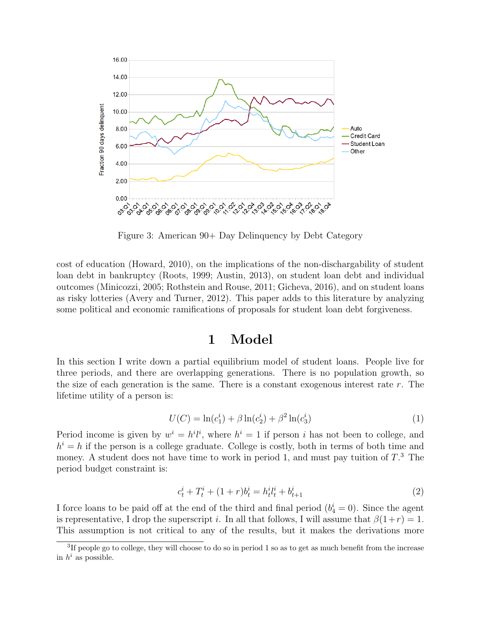<span id="page-2-0"></span>

Figure 3: American 90+ Day Delinquency by Debt Category

cost of education [\(Howard, 2010\)](#page-6-3), on the implications of the non-dischargability of student loan debt in bankruptcy [\(Roots, 1999;](#page-7-4) [Austin, 2013\)](#page-6-4), on student loan debt and individual outcomes [\(Minicozzi, 2005;](#page-7-5) [Rothstein and Rouse, 2011;](#page-7-6) [Gicheva, 2016\)](#page-6-5), and on student loans as risky lotteries [\(Avery and Turner, 2012\)](#page-6-6). This paper adds to this literature by analyzing some political and economic ramifications of proposals for student loan debt forgiveness.

## 1 Model

In this section I write down a partial equilibrium model of student loans. People live for three periods, and there are overlapping generations. There is no population growth, so the size of each generation is the same. There is a constant exogenous interest rate  $r$ . The lifetime utility of a person is:

<span id="page-2-2"></span>
$$
U(C) = \ln(c_1^i) + \beta \ln(c_2^i) + \beta^2 \ln(c_3^i)
$$
\n(1)

Period income is given by  $w^i = h^i l^i$ , where  $h^i = 1$  if person i has not been to college, and  $h^{i} = h$  if the person is a college graduate. College is costly, both in terms of both time and money. A student does not have time to work in period 1, and must pay tuition of  $T<sup>3</sup>$  $T<sup>3</sup>$  $T<sup>3</sup>$ . The period budget constraint is:

<span id="page-2-3"></span>
$$
c_t^i + T_t^i + (1+r)b_t^i = h_t^i t_t^i + b_{t+1}^i
$$
\n(2)

I force loans to be paid off at the end of the third and final period  $(b_4^i = 0)$ . Since the agent is representative, I drop the superscript i. In all that follows, I will assume that  $\beta(1+r) = 1$ . This assumption is not critical to any of the results, but it makes the derivations more

<span id="page-2-1"></span><sup>&</sup>lt;sup>3</sup>If people go to college, they will choose to do so in period 1 so as to get as much benefit from the increase in  $h^i$  as possible.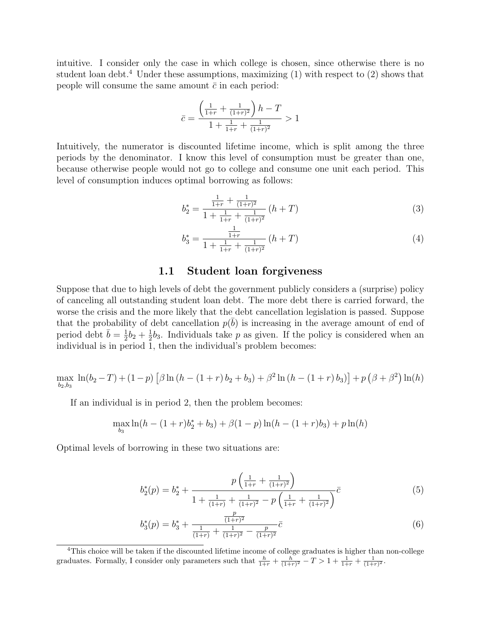intuitive. I consider only the case in which college is chosen, since otherwise there is no student loan debt.<sup>[4](#page-3-0)</sup> Under these assumptions, maximizing  $(1)$  with respect to  $(2)$  shows that people will consume the same amount  $\bar{c}$  in each period:

$$
\bar{c} = \frac{\left(\frac{1}{1+r} + \frac{1}{(1+r)^2}\right)h - T}{1 + \frac{1}{1+r} + \frac{1}{(1+r)^2}} > 1
$$

Intuitively, the numerator is discounted lifetime income, which is split among the three periods by the denominator. I know this level of consumption must be greater than one, because otherwise people would not go to college and consume one unit each period. This level of consumption induces optimal borrowing as follows:

<span id="page-3-1"></span>
$$
b_2^* = \frac{\frac{1}{1+r} + \frac{1}{(1+r)^2}}{1 + \frac{1}{1+r} + \frac{1}{(1+r)^2}} \left( h + T \right) \tag{3}
$$

<span id="page-3-2"></span>
$$
b_3^* = \frac{\frac{1}{1+r}}{1 + \frac{1}{1+r} + \frac{1}{(1+r)^2}} \left( h + T \right) \tag{4}
$$

#### 1.1 Student loan forgiveness

Suppose that due to high levels of debt the government publicly considers a (surprise) policy of canceling all outstanding student loan debt. The more debt there is carried forward, the worse the crisis and the more likely that the debt cancellation legislation is passed. Suppose that the probability of debt cancellation  $p(\bar{b})$  is increasing in the average amount of end of period debt  $\bar{b} = \frac{1}{2}$  $\frac{1}{2}b_2+\frac{1}{2}$  $\frac{1}{2}b_3$ . Individuals take p as given. If the policy is considered when an individual is in period 1, then the individual's problem becomes:

$$
\max_{b_2, b_3} \ln(b_2 - T) + (1 - p) \left[ \beta \ln(h - (1 + r) b_2 + b_3) + \beta^2 \ln(h - (1 + r) b_3) \right] + p \left( \beta + \beta^2 \right) \ln(h)
$$

If an individual is in period 2, then the problem becomes:

$$
\max_{b_3} \ln(h - (1+r)b_2^* + b_3) + \beta(1-p)\ln(h - (1+r)b_3) + p\ln(h)
$$

Optimal levels of borrowing in these two situations are:

<span id="page-3-3"></span>
$$
b_2^*(p) = b_2^* + \frac{p\left(\frac{1}{1+r} + \frac{1}{(1+r)^2}\right)}{1 + \frac{1}{(1+r)} + \frac{1}{(1+r)^2} - p\left(\frac{1}{1+r} + \frac{1}{(1+r)^2}\right)}\bar{c}
$$
(5)

<span id="page-3-4"></span>
$$
b_3^*(p) = b_3^* + \frac{\frac{p}{(1+r)^2}}{\frac{1}{(1+r)} + \frac{1}{(1+r)^2} - \frac{p}{(1+r)^2}} \bar{c}
$$
\n<sup>(6)</sup>

<span id="page-3-0"></span><sup>4</sup>This choice will be taken if the discounted lifetime income of college graduates is higher than non-college graduates. Formally, I consider only parameters such that  $\frac{h}{1+r} + \frac{h}{(1+r)^2} - T > 1 + \frac{1}{1+r} + \frac{1}{(1+r)^2}$ .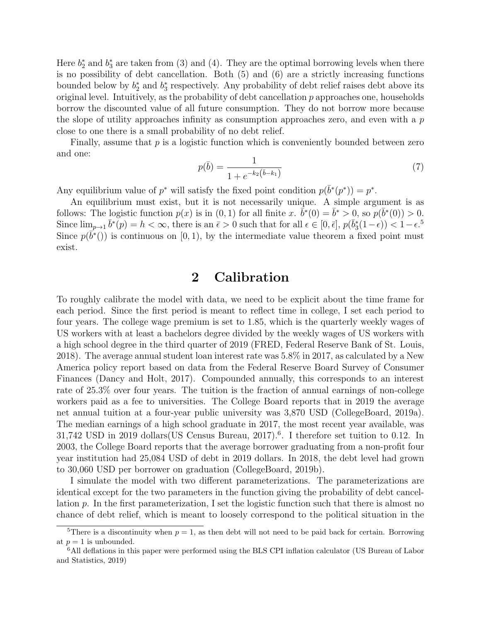Here  $b_2^*$  and  $b_3^*$  are taken from [\(3\)](#page-3-1) and [\(4\)](#page-3-2). They are the optimal borrowing levels when there is no possibility of debt cancellation. Both [\(5\)](#page-3-3) and [\(6\)](#page-3-4) are a strictly increasing functions bounded below by  $b_2^*$  and  $b_3^*$  respectively. Any probability of debt relief raises debt above its original level. Intuitively, as the probability of debt cancellation  $p$  approaches one, households borrow the discounted value of all future consumption. They do not borrow more because the slope of utility approaches infinity as consumption approaches zero, and even with a  $p$ close to one there is a small probability of no debt relief.

Finally, assume that  $p$  is a logistic function which is conveniently bounded between zero and one:

$$
p(\bar{b}) = \frac{1}{1 + e^{-k_2(\bar{b} - k_1)}}\tag{7}
$$

Any equilibrium value of  $p^*$  will satisfy the fixed point condition  $p(\bar{b}^*(p^*)) = p^*$ .

An equilibrium must exist, but it is not necessarily unique. A simple argument is as follows: The logistic function  $p(x)$  is in  $(0, 1)$  for all finite x.  $\bar{b}^*(0) = \bar{b}^* > 0$ , so  $p(\bar{b}^*(0)) > 0$ . Since  $\lim_{p\to 1} \bar{b}^*(p) = h < \infty$ , there is an  $\bar{\epsilon} > 0$  such that for all  $\epsilon \in [0, \bar{\epsilon}], p(\bar{b}_3^*(1-\epsilon)) < 1-\epsilon.$ <sup>[5](#page-4-0)</sup> Since  $p(\overline{b}^*())$  is continuous on [0, 1], by the intermediate value theorem a fixed point must exist.

## 2 Calibration

To roughly calibrate the model with data, we need to be explicit about the time frame for each period. Since the first period is meant to reflect time in college, I set each period to four years. The college wage premium is set to 1.85, which is the quarterly weekly wages of US workers with at least a bachelors degree divided by the weekly wages of US workers with a high school degree in the third quarter of 2019 [\(FRED, Federal Reserve Bank of St. Louis,](#page-6-7) [2018\)](#page-6-7). The average annual student loan interest rate was 5.8% in 2017, as calculated by a New America policy report based on data from the Federal Reserve Board Survey of Consumer Finances [\(Dancy and Holt, 2017\)](#page-6-8). Compounded annually, this corresponds to an interest rate of 25.3% over four years. The tuition is the fraction of annual earnings of non-college workers paid as a fee to universities. The College Board reports that in 2019 the average net annual tuition at a four-year public university was 3,870 USD [\(CollegeBoard, 2019a\)](#page-6-9). The median earnings of a high school graduate in 2017, the most recent year available, was  $31,742$  USD in 2019 dollars [\(US Census Bureau, 2017\)](#page-7-7).<sup>[6](#page-4-1)</sup>. I therefore set tuition to 0.12. In 2003, the College Board reports that the average borrower graduating from a non-profit four year institution had 25,084 USD of debt in 2019 dollars. In 2018, the debt level had grown to 30,060 USD per borrower on graduation [\(CollegeBoard, 2019b\)](#page-6-10).

I simulate the model with two different parameterizations. The parameterizations are identical except for the two parameters in the function giving the probability of debt cancellation p. In the first parameterization, I set the logistic function such that there is almost no chance of debt relief, which is meant to loosely correspond to the political situation in the

<span id="page-4-0"></span><sup>&</sup>lt;sup>5</sup>There is a discontinuity when  $p = 1$ , as then debt will not need to be paid back for certain. Borrowing at  $p = 1$  is unbounded.

<span id="page-4-1"></span><sup>6</sup>All deflations in this paper were performed using the BLS CPI inflation calculator [\(US Bureau of Labor](#page-7-8) [and Statistics, 2019\)](#page-7-8)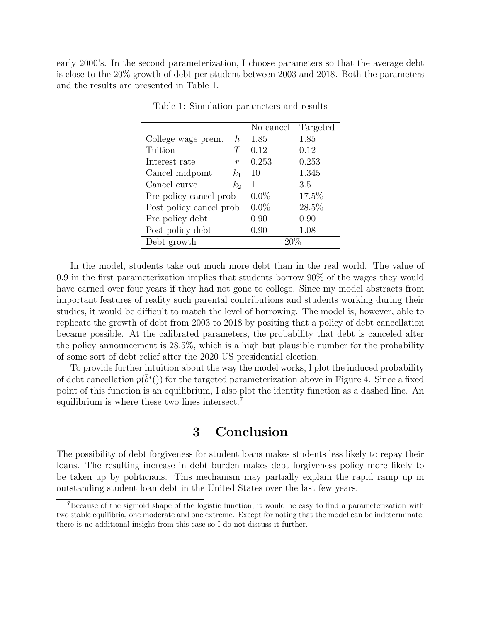<span id="page-5-0"></span>early 2000's. In the second parameterization, I choose parameters so that the average debt is close to the 20% growth of debt per student between 2003 and 2018. Both the parameters and the results are presented in Table [1.](#page-5-0)

|                         |                  | No cancel | Targeted |
|-------------------------|------------------|-----------|----------|
| College wage prem.      | $\hbar$          | 1.85      | 1.85     |
| Tuition                 | T                | 0.12      | 0.12     |
| Interest rate           | $\boldsymbol{r}$ | 0.253     | 0.253    |
| Cancel midpoint         | $k_1$            | 10        | 1.345    |
| Cancel curve            | $k_2$            | 1         | 3.5      |
| Pre policy cancel prob  |                  | $0.0\%$   | 17.5%    |
| Post policy cancel prob |                  | $0.0\%$   | 28.5%    |
| Pre policy debt         |                  | 0.90      | 0.90     |
| Post policy debt        |                  | 0.90      | 1.08     |
| Debt growth             |                  |           |          |

Table 1: Simulation parameters and results

In the model, students take out much more debt than in the real world. The value of 0.9 in the first parameterization implies that students borrow 90% of the wages they would have earned over four years if they had not gone to college. Since my model abstracts from important features of reality such parental contributions and students working during their studies, it would be difficult to match the level of borrowing. The model is, however, able to replicate the growth of debt from 2003 to 2018 by positing that a policy of debt cancellation became possible. At the calibrated parameters, the probability that debt is canceled after the policy announcement is 28.5%, which is a high but plausible number for the probability of some sort of debt relief after the 2020 US presidential election.

To provide further intuition about the way the model works, I plot the induced probability of debt cancellation  $p(\bar{b}^*())$  for the targeted parameterization above in Figure [4.](#page-6-11) Since a fixed point of this function is an equilibrium, I also plot the identity function as a dashed line. An equilibrium is where these two lines intersect.[7](#page-5-1)

### 3 Conclusion

The possibility of debt forgiveness for student loans makes students less likely to repay their loans. The resulting increase in debt burden makes debt forgiveness policy more likely to be taken up by politicians. This mechanism may partially explain the rapid ramp up in outstanding student loan debt in the United States over the last few years.

<span id="page-5-1"></span><sup>7</sup>Because of the sigmoid shape of the logistic function, it would be easy to find a parameterization with two stable equilibria, one moderate and one extreme. Except for noting that the model can be indeterminate, there is no additional insight from this case so I do not discuss it further.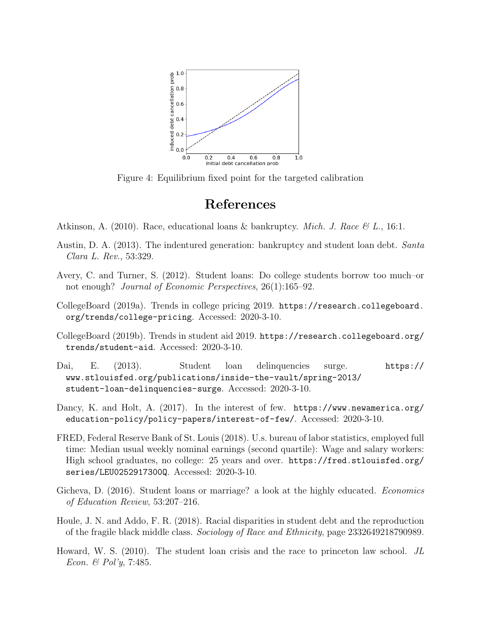<span id="page-6-11"></span>

Figure 4: Equilibrium fixed point for the targeted calibration

## References

- <span id="page-6-0"></span>Atkinson, A. (2010). Race, educational loans & bankruptcy. *Mich. J. Race*  $\mathscr{C}L$ ., 16:1.
- <span id="page-6-4"></span>Austin, D. A. (2013). The indentured generation: bankruptcy and student loan debt. Santa Clara L. Rev., 53:329.
- <span id="page-6-6"></span>Avery, C. and Turner, S. (2012). Student loans: Do college students borrow too much–or not enough? *Journal of Economic Perspectives*, 26(1):165–92.
- <span id="page-6-9"></span>CollegeBoard (2019a). Trends in college pricing 2019. [https://research.collegeboard.](https://research.collegeboard.org/trends/college-pricing) [org/trends/college-pricing](https://research.collegeboard.org/trends/college-pricing). Accessed: 2020-3-10.
- <span id="page-6-10"></span>CollegeBoard (2019b). Trends in student aid 2019. [https://research.collegeboard.org/](https://research.collegeboard.org/trends/student-aid) [trends/student-aid](https://research.collegeboard.org/trends/student-aid). Accessed: 2020-3-10.
- <span id="page-6-2"></span>Dai, E. (2013). Student loan delinquencies surge. [https://](https://www.stlouisfed.org/publications/inside-the-vault/spring-2013/student-loan-delinquencies-surge) [www.stlouisfed.org/publications/inside-the-vault/spring-2013/](https://www.stlouisfed.org/publications/inside-the-vault/spring-2013/student-loan-delinquencies-surge) [student-loan-delinquencies-surge](https://www.stlouisfed.org/publications/inside-the-vault/spring-2013/student-loan-delinquencies-surge). Accessed: 2020-3-10.
- <span id="page-6-8"></span>Dancy, K. and Holt, A. (2017). In the interest of few. [https://www.newamerica.org/](https://www.newamerica.org/education-policy/policy-papers/interest-of-few/) [education-policy/policy-papers/interest-of-few/](https://www.newamerica.org/education-policy/policy-papers/interest-of-few/). Accessed: 2020-3-10.
- <span id="page-6-7"></span>FRED, Federal Reserve Bank of St. Louis (2018). U.s. bureau of labor statistics, employed full time: Median usual weekly nominal earnings (second quartile): Wage and salary workers: High school graduates, no college: 25 years and over. [https://fred.stlouisfed.org/](https://fred.stlouisfed.org/series/LEU0252917300Q) [series/LEU0252917300Q](https://fred.stlouisfed.org/series/LEU0252917300Q). Accessed: 2020-3-10.
- <span id="page-6-5"></span>Gicheva, D. (2016). Student loans or marriage? a look at the highly educated. *Economics* of Education Review, 53:207–216.
- <span id="page-6-1"></span>Houle, J. N. and Addo, F. R. (2018). Racial disparities in student debt and the reproduction of the fragile black middle class. Sociology of Race and Ethnicity, page 2332649218790989.
- <span id="page-6-3"></span>Howard, W. S. (2010). The student loan crisis and the race to princeton law school. JL Econ. & Pol'y, 7:485.